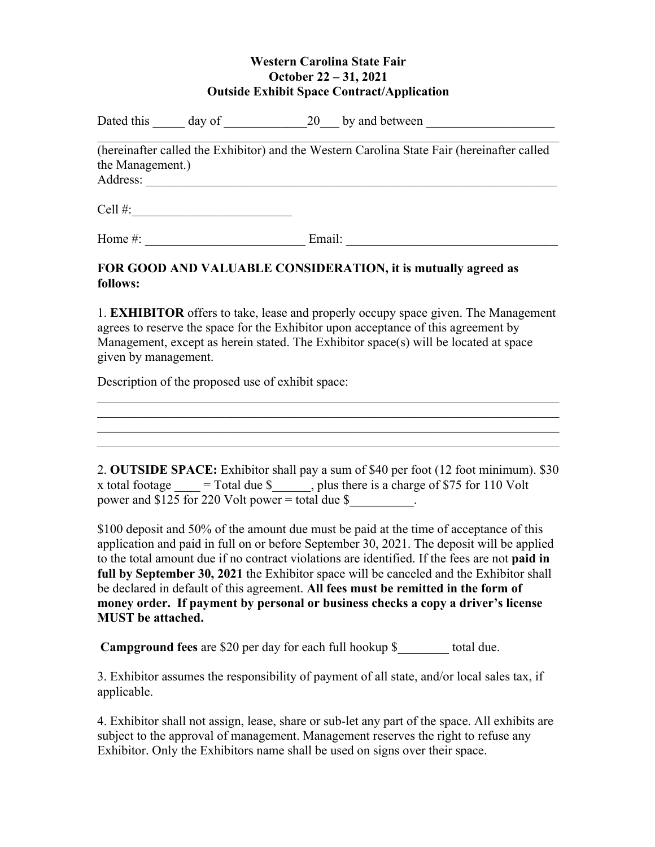## **Western Carolina State Fair October 22 – 31, 2021 Outside Exhibit Space Contract/Application**

| Dated this | day of | 20 | by and between |  |
|------------|--------|----|----------------|--|
|            |        |    |                |  |

(hereinafter called the Exhibitor) and the Western Carolina State Fair (hereinafter called the Management.) Address: \_\_\_\_\_\_\_\_\_\_\_\_\_\_\_\_\_\_\_\_\_\_\_\_\_\_\_\_\_\_\_\_\_\_\_\_\_\_\_\_\_\_\_\_\_\_\_\_\_\_\_\_\_\_\_\_\_\_\_\_\_\_\_\_

 $Cell \#$ :

Home #: \_\_\_\_\_\_\_\_\_\_\_\_\_\_\_\_\_\_\_\_\_\_\_\_\_ Email: \_\_\_\_\_\_\_\_\_\_\_\_\_\_\_\_\_\_\_\_\_\_\_\_\_\_\_\_\_\_\_\_\_

## **FOR GOOD AND VALUABLE CONSIDERATION, it is mutually agreed as follows:**

1. **EXHIBITOR** offers to take, lease and properly occupy space given. The Management agrees to reserve the space for the Exhibitor upon acceptance of this agreement by Management, except as herein stated. The Exhibitor space(s) will be located at space given by management.

Description of the proposed use of exhibit space:

2. **OUTSIDE SPACE:** Exhibitor shall pay a sum of \$40 per foot (12 foot minimum). \$30 x total footage  $=$  Total due \$, plus there is a charge of \$75 for 110 Volt power and \$125 for 220 Volt power = total due \$\_\_\_\_\_\_\_\_\_\_.

\$100 deposit and 50% of the amount due must be paid at the time of acceptance of this application and paid in full on or before September 30, 2021. The deposit will be applied to the total amount due if no contract violations are identified. If the fees are not **paid in full by September 30, 2021** the Exhibitor space will be canceled and the Exhibitor shall be declared in default of this agreement. **All fees must be remitted in the form of money order. If payment by personal or business checks a copy a driver's license MUST be attached.**

**Campground fees** are \$20 per day for each full hookup \$ total due.

3. Exhibitor assumes the responsibility of payment of all state, and/or local sales tax, if applicable.

4. Exhibitor shall not assign, lease, share or sub-let any part of the space. All exhibits are subject to the approval of management. Management reserves the right to refuse any Exhibitor. Only the Exhibitors name shall be used on signs over their space.